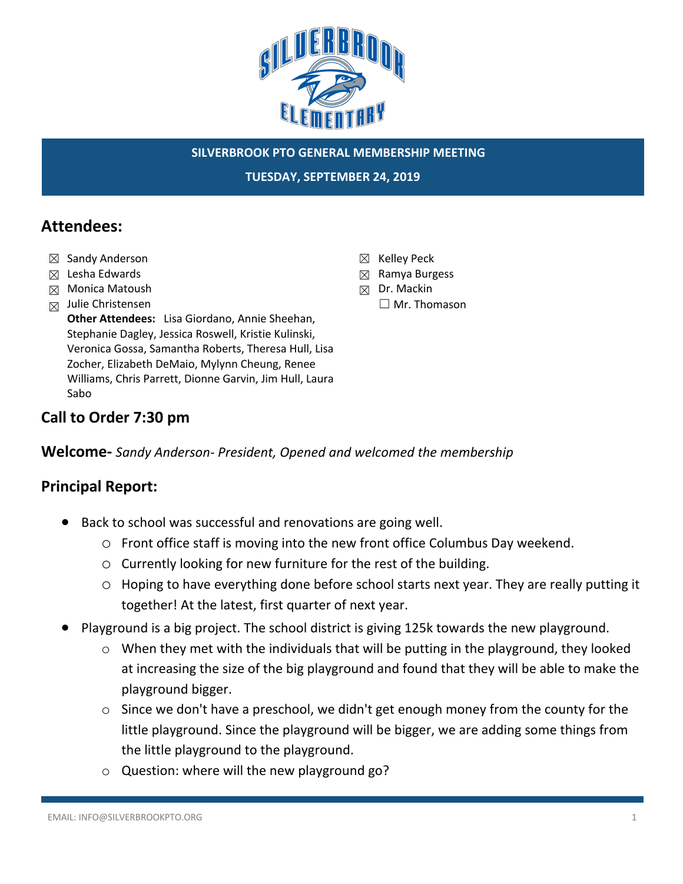

**TUESDAY, SEPTEMBER 24, 2019**

# **Attendees:**

- ☒ Sandy Anderson
- ☒ Lesha Edwards
- ☒ Monica Matoush
- $\boxtimes$  Julie Christensen

**Other Attendees:** Lisa Giordano, Annie Sheehan, Stephanie Dagley, Jessica Roswell, Kristie Kulinski, Veronica Gossa, Samantha Roberts, Theresa Hull, Lisa Zocher, Elizabeth DeMaio, Mylynn Cheung, Renee Williams, Chris Parrett, Dionne Garvin, Jim Hull, Laura Sabo

☒ Kelley Peck

- ☒ Ramya Burgess
- ☒ Dr. Mackin
	- ☐ Mr. Thomason

# **Call to Order 7:30 pm**

**Welcome-** *Sandy Anderson- President, Opened and welcomed the membership*

# **Principal Report:**

- Back to school was successful and renovations are going well.
	- o Front office staff is moving into the new front office Columbus Day weekend.
	- o Currently looking for new furniture for the rest of the building.
	- o Hoping to have everything done before school starts next year. They are really putting it together! At the latest, first quarter of next year.
- Playground is a big project. The school district is giving 125k towards the new playground.
	- o When they met with the individuals that will be putting in the playground, they looked at increasing the size of the big playground and found that they will be able to make the playground bigger.
	- o Since we don't have a preschool, we didn't get enough money from the county for the little playground. Since the playground will be bigger, we are adding some things from the little playground to the playground.
	- o Question: where will the new playground go?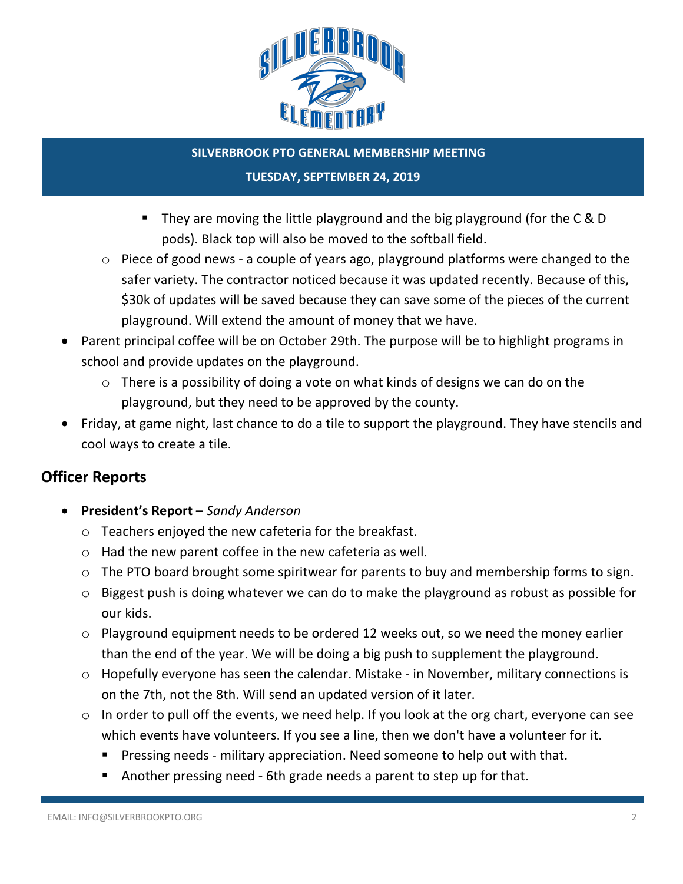

#### **TUESDAY, SEPTEMBER 24, 2019**

- They are moving the little playground and the big playground (for the C & D pods). Black top will also be moved to the softball field.
- o Piece of good news a couple of years ago, playground platforms were changed to the safer variety. The contractor noticed because it was updated recently. Because of this, \$30k of updates will be saved because they can save some of the pieces of the current playground. Will extend the amount of money that we have.
- Parent principal coffee will be on October 29th. The purpose will be to highlight programs in school and provide updates on the playground.
	- o There is a possibility of doing a vote on what kinds of designs we can do on the playground, but they need to be approved by the county.
- Friday, at game night, last chance to do a tile to support the playground. They have stencils and cool ways to create a tile.

# **Officer Reports**

- **President's Report**  *Sandy Anderson*
	- o Teachers enjoyed the new cafeteria for the breakfast.
	- o Had the new parent coffee in the new cafeteria as well.
	- $\circ$  The PTO board brought some spiritwear for parents to buy and membership forms to sign.
	- o Biggest push is doing whatever we can do to make the playground as robust as possible for our kids.
	- o Playground equipment needs to be ordered 12 weeks out, so we need the money earlier than the end of the year. We will be doing a big push to supplement the playground.
	- o Hopefully everyone has seen the calendar. Mistake in November, military connections is on the 7th, not the 8th. Will send an updated version of it later.
	- $\circ$  In order to pull off the events, we need help. If you look at the org chart, everyone can see which events have volunteers. If you see a line, then we don't have a volunteer for it.
		- **•** Pressing needs military appreciation. Need someone to help out with that.
		- Another pressing need 6th grade needs a parent to step up for that.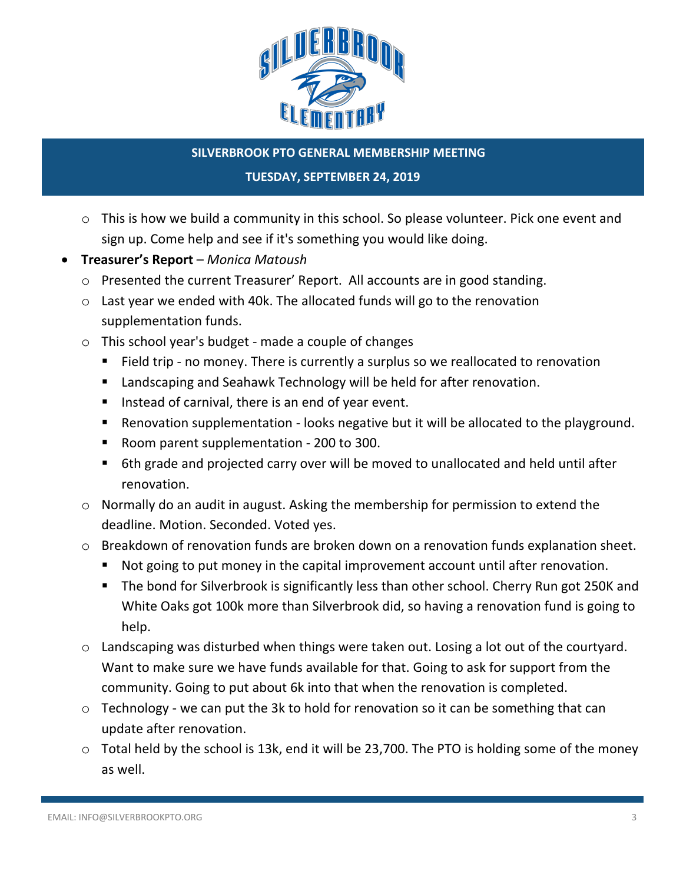

#### **TUESDAY, SEPTEMBER 24, 2019**

- o This is how we build a community in this school. So please volunteer. Pick one event and sign up. Come help and see if it's something you would like doing.
- **Treasurer's Report** *Monica Matoush* 
	- o Presented the current Treasurer' Report. All accounts are in good standing.
	- o Last year we ended with 40k. The allocated funds will go to the renovation supplementation funds.
	- o This school year's budget made a couple of changes
		- Field trip no money. There is currently a surplus so we reallocated to renovation
		- Landscaping and Seahawk Technology will be held for after renovation.
		- Instead of carnival, there is an end of year event.
		- Renovation supplementation looks negative but it will be allocated to the playground.
		- Room parent supplementation 200 to 300.
		- 6th grade and projected carry over will be moved to unallocated and held until after renovation.
	- o Normally do an audit in august. Asking the membership for permission to extend the deadline. Motion. Seconded. Voted yes.
	- o Breakdown of renovation funds are broken down on a renovation funds explanation sheet.
		- Not going to put money in the capital improvement account until after renovation.
		- The bond for Silverbrook is significantly less than other school. Cherry Run got 250K and White Oaks got 100k more than Silverbrook did, so having a renovation fund is going to help.
	- o Landscaping was disturbed when things were taken out. Losing a lot out of the courtyard. Want to make sure we have funds available for that. Going to ask for support from the community. Going to put about 6k into that when the renovation is completed.
	- o Technology we can put the 3k to hold for renovation so it can be something that can update after renovation.
	- o Total held by the school is 13k, end it will be 23,700. The PTO is holding some of the money as well.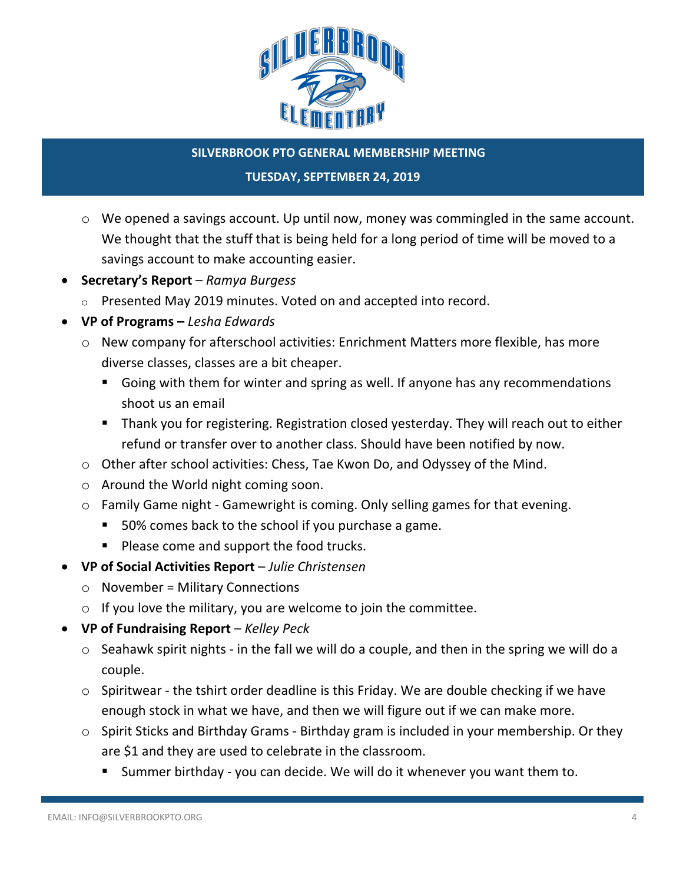

#### **TUESDAY, SEPTEMBER 24, 2019**

- o We opened a savings account. Up until now, money was commingled in the same account. We thought that the stuff that is being held for a long period of time will be moved to a savings account to make accounting easier.
- **Secretary's Report**  *Ramya Burgess*
	- o Presented May 2019 minutes. Voted on and accepted into record.
- **VP of Programs –** *Lesha Edwards*
	- o New company for afterschool activities: Enrichment Matters more flexible, has more diverse classes, classes are a bit cheaper.
		- Going with them for winter and spring as well. If anyone has any recommendations shoot us an email
		- Thank you for registering. Registration closed yesterday. They will reach out to either refund or transfer over to another class. Should have been notified by now.
	- o Other after school activities: Chess, Tae Kwon Do, and Odyssey of the Mind.
	- o Around the World night coming soon.
	- o Family Game night Gamewright is coming. Only selling games for that evening.
		- 50% comes back to the school if you purchase a game.
		- Please come and support the food trucks.
- **VP of Social Activities Report** *Julie Christensen*
	- $\circ$  November = Military Connections
	- $\circ$  If you love the military, you are welcome to join the committee.
- **VP of Fundraising Report**  *Kelley Peck*
	- o Seahawk spirit nights in the fall we will do a couple, and then in the spring we will do a couple.
	- o Spiritwear the tshirt order deadline is this Friday. We are double checking if we have enough stock in what we have, and then we will figure out if we can make more.
	- o Spirit Sticks and Birthday Grams Birthday gram is included in your membership. Or they are \$1 and they are used to celebrate in the classroom.
		- Summer birthday you can decide. We will do it whenever you want them to.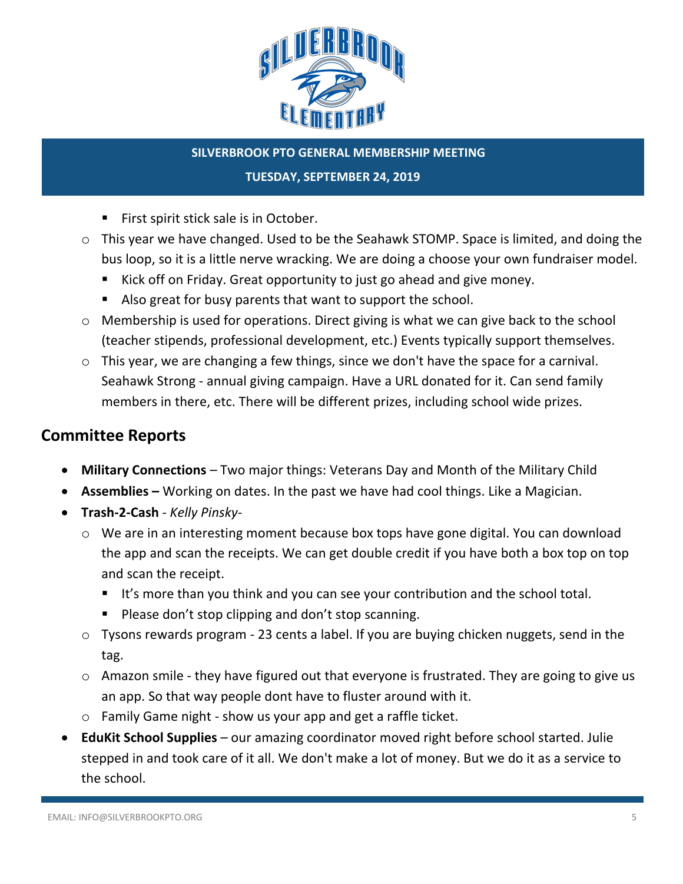

**SILVERBROOK PTO GENERAL MEMBERSHIP MEETING TUESDAY, SEPTEMBER 24, 2019**

- First spirit stick sale is in October.
- o This year we have changed. Used to be the Seahawk STOMP. Space is limited, and doing the bus loop, so it is a little nerve wracking. We are doing a choose your own fundraiser model.
	- Kick off on Friday. Great opportunity to just go ahead and give money.
	- Also great for busy parents that want to support the school.
- o Membership is used for operations. Direct giving is what we can give back to the school (teacher stipends, professional development, etc.) Events typically support themselves.
- o This year, we are changing a few things, since we don't have the space for a carnival. Seahawk Strong - annual giving campaign. Have a URL donated for it. Can send family members in there, etc. There will be different prizes, including school wide prizes.

# **Committee Reports**

- **Military Connections** *–* Two major things: Veterans Day and Month of the Military Child
- **Assemblies –** Working on dates. In the past we have had cool things. Like a Magician.
- **Trash-2-Cash** *Kelly Pinsky*
	- o We are in an interesting moment because box tops have gone digital. You can download the app and scan the receipts. We can get double credit if you have both a box top on top and scan the receipt.
		- It's more than you think and you can see your contribution and the school total.
		- Please don't stop clipping and don't stop scanning.
	- o Tysons rewards program 23 cents a label. If you are buying chicken nuggets, send in the tag.
	- o Amazon smile they have figured out that everyone is frustrated. They are going to give us an app. So that way people dont have to fluster around with it.
	- o Family Game night show us your app and get a raffle ticket.
- **EduKit School Supplies** our amazing coordinator moved right before school started. Julie stepped in and took care of it all. We don't make a lot of money. But we do it as a service to the school.